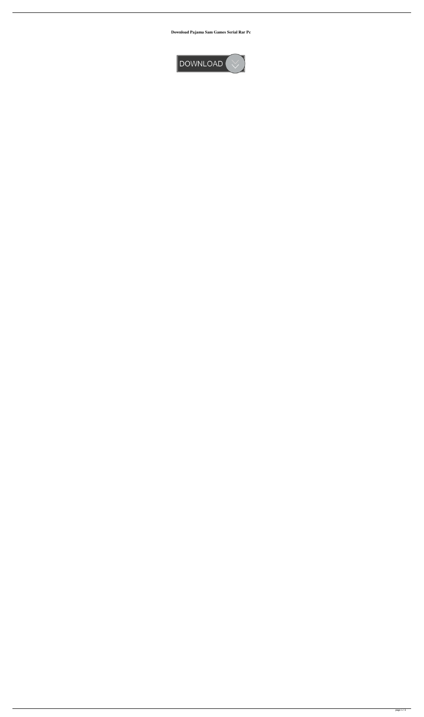**Download Pajama Sam Games Serial Rar Pc**

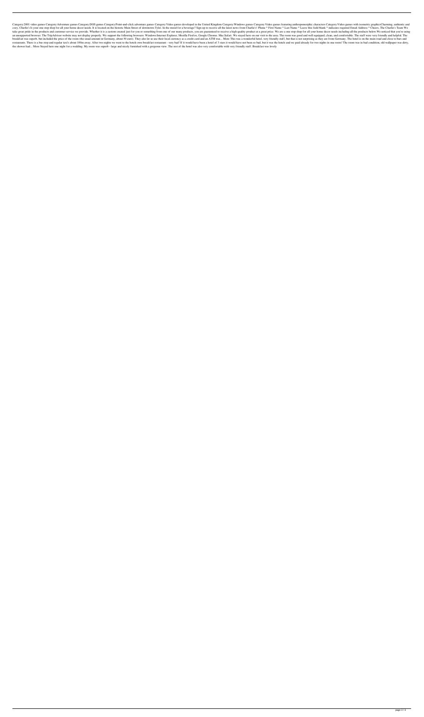Category:2001 video games Category:Adventure games Category:DOS games Category:Point-and-click adventure games Category:Video games developed in the United Kingdom Category:Windows games Category:Video games featuring anth cozy, Charlie's Is your one stop shop for all your home decor needs. It is located on the historic Main Street of downtown Tyler. In the mood for a beverage? Sign up to receive all the latest news from Charlie's! Phone \* E take great pride in the products and customer service we provide. Whether it is a custom created just for you or something from one of our many products, you are guaranteed to receive a high quality product at a great pric an unsupported browser. The TripAdvisor website may not display properly. We support the following browsers: Windows:Internet Explorer, Mozilla Firefox, Google Chrome. Mac:Safari. We stayed here on our visit to the area. T breakfast was superb, but included the price of the room (the usual amount in Germany, about 50 euro). They also let us use their local currency as a credit card and an ATM was... More This was a wonderful hotel, very frie restaurants. There is a bus stop and regular taxi's about 100m away. After two nights we went to the hotels own breakfast restaurant - very bad! If it would have been a hotel of 3 stars it would have not been so bad, but i the shower had... More Stayed here one night for a wedding. My room was superb - large and nicely furnished with a gorgeous view. The rest of the hotel was also very comfortable with very friendly staff. Breakfast was lovely